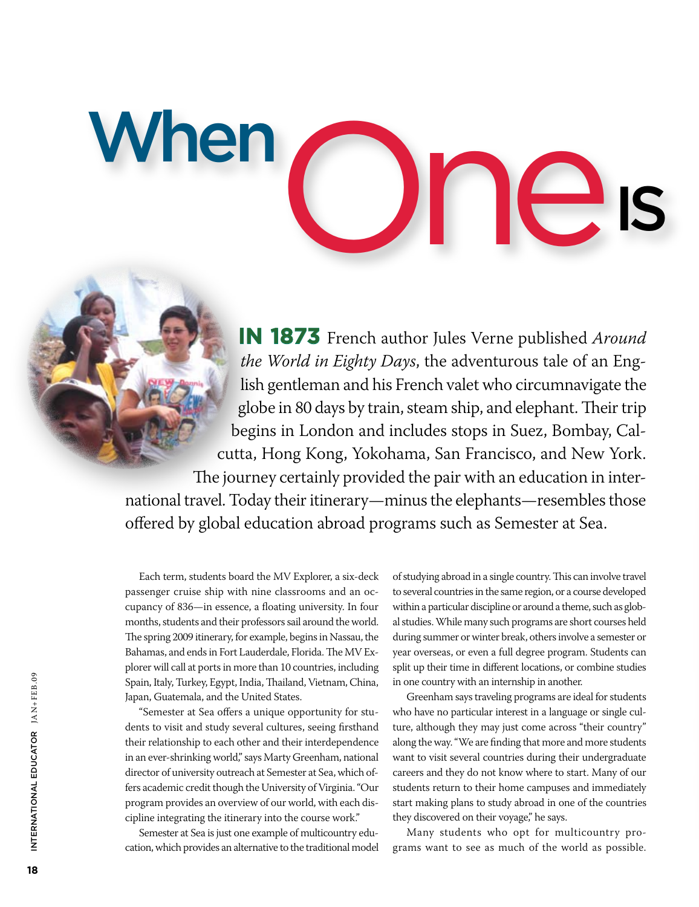**In 1873** French author Jules Verne published *Around the World in Eighty Days*, the adventurous tale of an English gentleman and his French valet who circumnavigate the globe in 80 days by train, steam ship, and elephant. Their trip begins in London and includes stops in Suez, Bombay, Calcutta, Hong Kong, Yokohama, San Francisco, and New York. The journey certainly provided the pair with an education in international travel. Today their itinerary—minus the elephants—resembles those offered by global education abroad programs such as Semester at Sea.

One is

Each term, students board the MV Explorer, a six-deck passenger cruise ship with nine classrooms and an occupancy of 836—in essence, a floating university. In four months, students and their professors sail around the world. The spring 2009 itinerary, for example, begins in Nassau, the Bahamas, and ends in Fort Lauderdale, Florida. The MV Explorer will call at ports in more than 10 countries, including Spain, Italy, Turkey, Egypt, India, Thailand, Vietnam, China, Japan, Guatemala, and the United States.

**When** 

"Semester at Sea offers a unique opportunity for students to visit and study several cultures, seeing firsthand their relationship to each other and their interdependence in an ever-shrinking world," says Marty Greenham, national director of university outreach at Semester at Sea, which offers academic credit though the University of Virginia. "Our program provides an overview of our world, with each discipline integrating the itinerary into the course work."

Semester at Sea is just one example of multicountry education, which provides an alternative to the traditional model

of studying abroad in a single country. This can involve travel to several countries in the same region, or a course developed within a particular discipline or around a theme, such as global studies. While many such programs are short courses held during summer or winter break, others involve a semester or year overseas, or even a full degree program. Students can split up their time in different locations, or combine studies in one country with an internship in another.

Greenham says traveling programs are ideal for students who have no particular interest in a language or single culture, although they may just come across "their country" along the way. "We are finding that more and more students want to visit several countries during their undergraduate careers and they do not know where to start. Many of our students return to their home campuses and immediately start making plans to study abroad in one of the countries they discovered on their voyage," he says.

Many students who opt for multicountry programs want to see as much of the world as possible.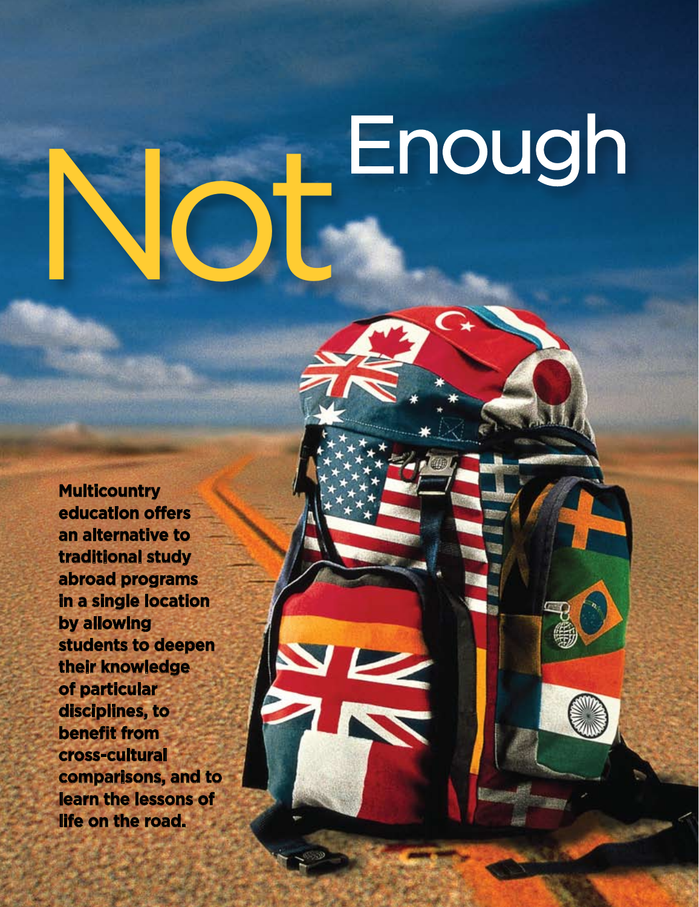# Enough

**Multicountry education offers an alternative to traditional study abroad programs in a single location by allowing students to deepen their knowledge of particular disciplines, to benefit from cross-cultural comparisons, and to learn the lessons of life on the road.**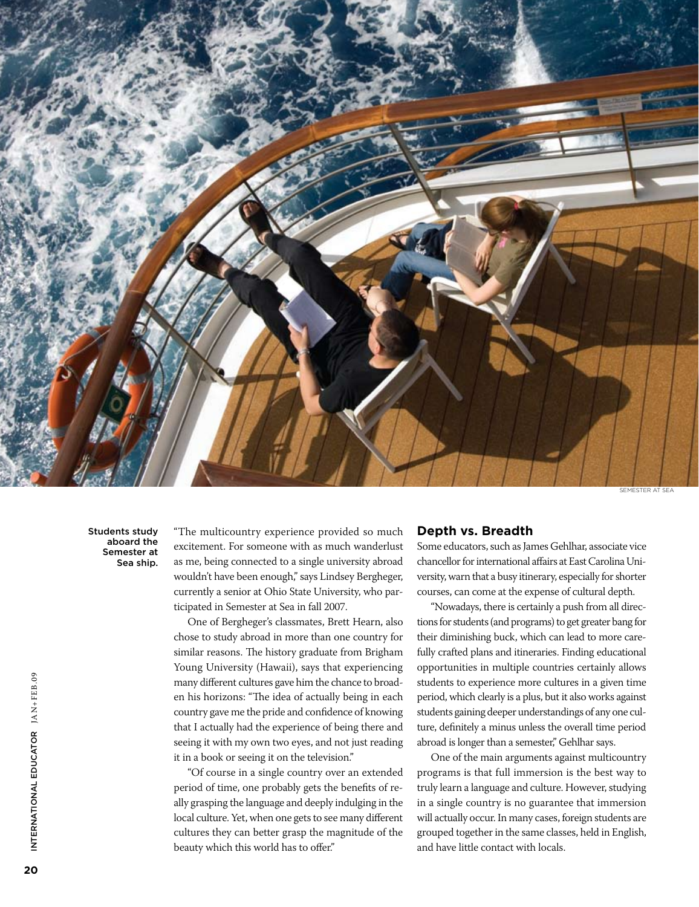

semester at sea

Students study aboard the Semester at Sea ship.

"The multicountry experience provided so much excitement. For someone with as much wanderlust as me, being connected to a single university abroad wouldn't have been enough," says Lindsey Bergheger, currently a senior at Ohio State University, who participated in Semester at Sea in fall 2007.

One of Bergheger's classmates, Brett Hearn, also chose to study abroad in more than one country for similar reasons. The history graduate from Brigham Young University (Hawaii), says that experiencing many different cultures gave him the chance to broaden his horizons: "The idea of actually being in each country gave me the pride and confidence of knowing that I actually had the experience of being there and seeing it with my own two eyes, and not just reading it in a book or seeing it on the television."

"Of course in a single country over an extended period of time, one probably gets the benefits of really grasping the language and deeply indulging in the local culture. Yet, when one gets to see many different cultures they can better grasp the magnitude of the beauty which this world has to offer."

### **Depth vs. Breadth**

Some educators, such as James Gehlhar, associate vice chancellor for international affairs at East Carolina University, warn that a busy itinerary, especially for shorter courses, can come at the expense of cultural depth.

"Nowadays, there is certainly a push from all directions for students (and programs) to get greater bang for their diminishing buck, which can lead to more carefully crafted plans and itineraries. Finding educational opportunities in multiple countries certainly allows students to experience more cultures in a given time period, which clearly is a plus, but it also works against students gaining deeper understandings of any one culture, definitely a minus unless the overall time period abroad is longer than a semester," Gehlhar says.

One of the main arguments against multicountry programs is that full immersion is the best way to truly learn a language and culture. However, studying in a single country is no guarantee that immersion will actually occur. In many cases, foreign students are grouped together in the same classes, held in English, and have little contact with locals.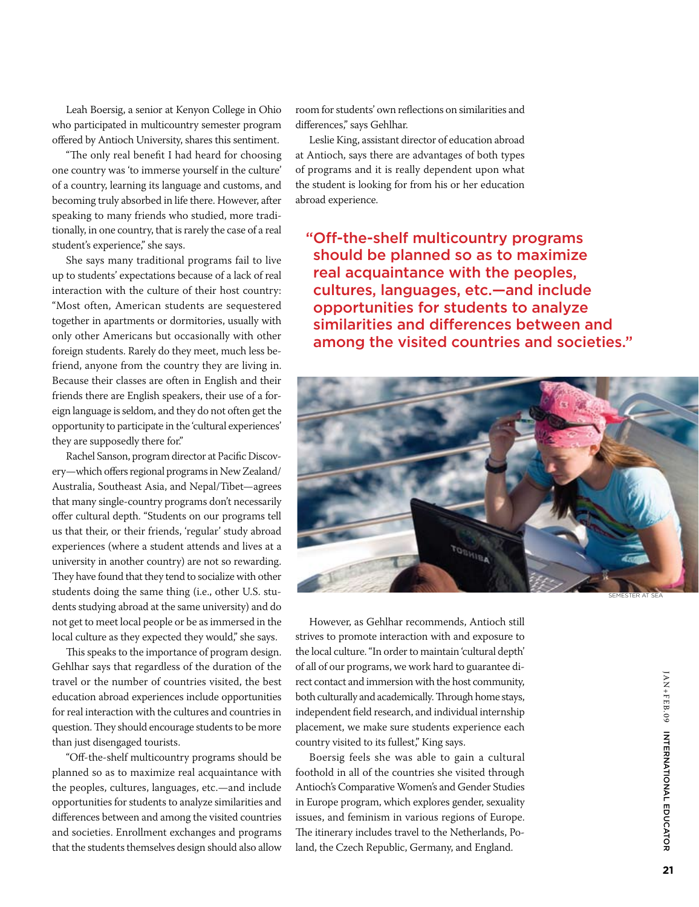Leah Boersig, a senior at Kenyon College in Ohio who participated in multicountry semester program offered by Antioch University, shares this sentiment.

"The only real benefit I had heard for choosing one country was 'to immerse yourself in the culture' of a country, learning its language and customs, and becoming truly absorbed in life there. However, after speaking to many friends who studied, more traditionally, in one country, that is rarely the case of a real student's experience," she says.

She says many traditional programs fail to live up to students' expectations because of a lack of real interaction with the culture of their host country: "Most often, American students are sequestered together in apartments or dormitories, usually with only other Americans but occasionally with other foreign students. Rarely do they meet, much less befriend, anyone from the country they are living in. Because their classes are often in English and their friends there are English speakers, their use of a foreign language is seldom, and they do not often get the opportunity to participate in the 'cultural experiences' they are supposedly there for."

Rachel Sanson, program director at Pacific Discovery—which offers regional programs in New Zealand/ Australia, Southeast Asia, and Nepal/Tibet—agrees that many single-country programs don't necessarily offer cultural depth. "Students on our programs tell us that their, or their friends, 'regular' study abroad experiences (where a student attends and lives at a university in another country) are not so rewarding. They have found that they tend to socialize with other students doing the same thing (i.e., other U.S. students studying abroad at the same university) and do not get to meet local people or be as immersed in the local culture as they expected they would," she says.

This speaks to the importance of program design. Gehlhar says that regardless of the duration of the travel or the number of countries visited, the best education abroad experiences include opportunities for real interaction with the cultures and countries in question. They should encourage students to be more than just disengaged tourists.

"Off-the-shelf multicountry programs should be planned so as to maximize real acquaintance with the peoples, cultures, languages, etc.—and include opportunities for students to analyze similarities and differences between and among the visited countries and societies. Enrollment exchanges and programs that the students themselves design should also allow

room for students' own reflections on similarities and differences," says Gehlhar.

Leslie King, assistant director of education abroad at Antioch, says there are advantages of both types of programs and it is really dependent upon what the student is looking for from his or her education abroad experience.

"Off-the-shelf multicountry programs should be planned so as to maximize real acquaintance with the peoples, cultures, languages, etc.—and include opportunities for students to analyze similarities and differences between and among the visited countries and societies."



However, as Gehlhar recommends, Antioch still strives to promote interaction with and exposure to the local culture. "In order to maintain 'cultural depth' of all of our programs, we work hard to guarantee direct contact and immersion with the host community, both culturally and academically. Through home stays, independent field research, and individual internship placement, we make sure students experience each country visited to its fullest," King says.

Boersig feels she was able to gain a cultural foothold in all of the countries she visited through Antioch's Comparative Women's and Gender Studies in Europe program, which explores gender, sexuality issues, and feminism in various regions of Europe. The itinerary includes travel to the Netherlands, Poland, the Czech Republic, Germany, and England.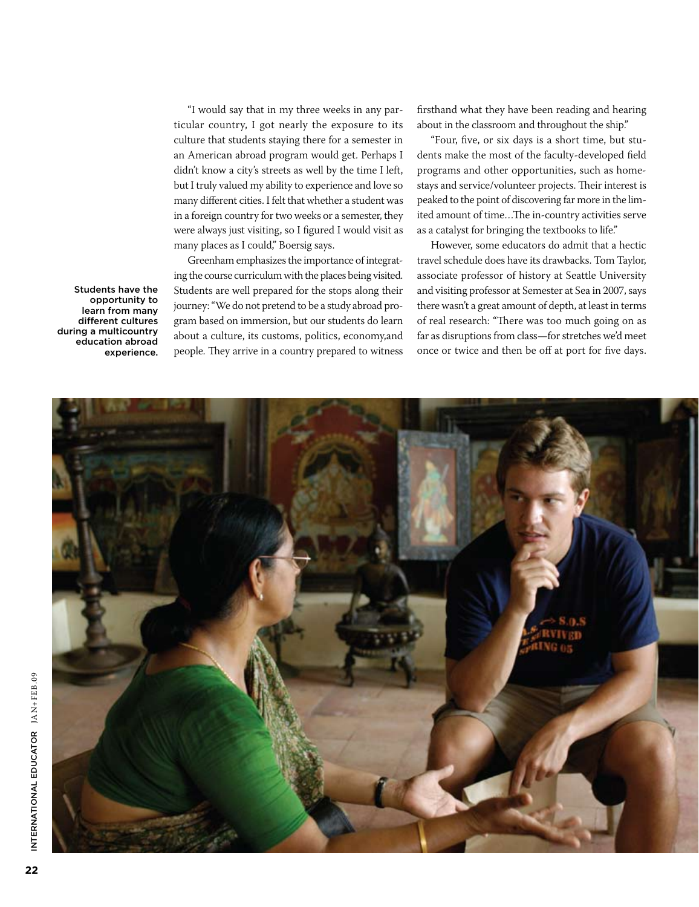"I would say that in my three weeks in any particular country, I got nearly the exposure to its culture that students staying there for a semester in an American abroad program would get. Perhaps I didn't know a city's streets as well by the time I left, but I truly valued my ability to experience and love so many different cities. I felt that whether a student was in a foreign country for two weeks or a semester, they were always just visiting, so I figured I would visit as many places as I could," Boersig says.

Greenham emphasizes the importance of integrating the course curriculum with the places being visited. Students are well prepared for the stops along their journey: "We do not pretend to be a study abroad program based on immersion, but our students do learn about a culture, its customs, politics, economy,and people. They arrive in a country prepared to witness

firsthand what they have been reading and hearing about in the classroom and throughout the ship."

"Four, five, or six days is a short time, but students make the most of the faculty-developed field programs and other opportunities, such as homestays and service/volunteer projects. Their interest is peaked to the point of discovering far more in the limited amount of time…The in-country activities serve as a catalyst for bringing the textbooks to life."

However, some educators do admit that a hectic travel schedule does have its drawbacks. Tom Taylor, associate professor of history at Seattle University and visiting professor at Semester at Sea in 2007, says there wasn't a great amount of depth, at least in terms of real research: "There was too much going on as far as disruptions from class—for stretches we'd meet once or twice and then be off at port for five days.



Students have the opportunity to learn from many different cultures during a multicountry education abroad experience.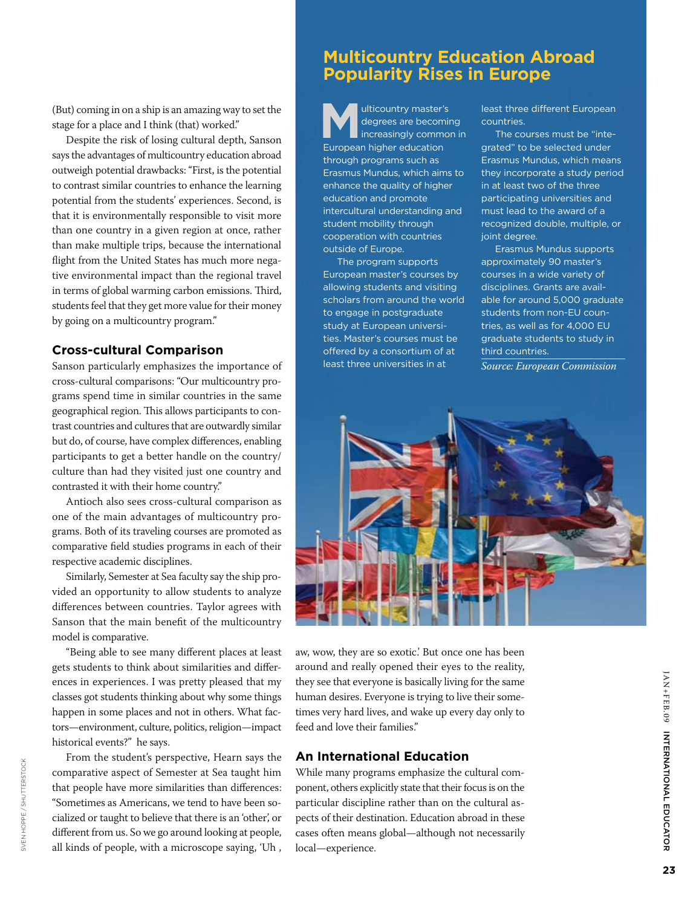(But) coming in on a ship is an amazing way to set the stage for a place and I think (that) worked."

Despite the risk of losing cultural depth, Sanson says the advantages of multicountry education abroad outweigh potential drawbacks: "First, is the potential to contrast similar countries to enhance the learning potential from the students' experiences. Second, is that it is environmentally responsible to visit more than one country in a given region at once, rather than make multiple trips, because the international flight from the United States has much more negative environmental impact than the regional travel in terms of global warming carbon emissions. Third, students feel that they get more value for their money by going on a multicountry program."

### **Cross-cultural Comparison**

Sanson particularly emphasizes the importance of cross-cultural comparisons: "Our multicountry programs spend time in similar countries in the same geographical region. This allows participants to contrast countries and cultures that are outwardly similar but do, of course, have complex differences, enabling participants to get a better handle on the country/ culture than had they visited just one country and contrasted it with their home country."

Antioch also sees cross-cultural comparison as one of the main advantages of multicountry programs. Both of its traveling courses are promoted as comparative field studies programs in each of their respective academic disciplines.

Similarly, Semester at Sea faculty say the ship provided an opportunity to allow students to analyze differences between countries. Taylor agrees with Sanson that the main benefit of the multicountry model is comparative.

"Being able to see many different places at least gets students to think about similarities and differences in experiences. I was pretty pleased that my classes got students thinking about why some things happen in some places and not in others. What factors—environment, culture, politics, religion—impact historical events?" he says.

From the student's perspective, Hearn says the comparative aspect of Semester at Sea taught him that people have more similarities than differences: "Sometimes as Americans, we tend to have been socialized or taught to believe that there is an 'other', or different from us. So we go around looking at people, all kinds of people, with a microscope saying, 'Uh ,

## **Multicountry Education Abroad Popularity Rises in Europe**

ulticountry master's degrees are becoming increasingly common in European higher education through programs such as Erasmus Mundus, which aims to enhance the quality of higher education and promote intercultural understanding and student mobility through cooperation with countries outside of Europe.

The program supports European master's courses by allowing students and visiting scholars from around the world to engage in postgraduate study at European universities. Master's courses must be offered by a consortium of at least three universities in at

least three different European countries.

The courses must be "integrated" to be selected under Erasmus Mundus, which means they incorporate a study period in at least two of the three participating universities and must lead to the award of a recognized double, multiple, or joint degree.

Erasmus Mundus supports approximately 90 master's courses in a wide variety of disciplines. Grants are available for around 5,000 graduate students from non-EU countries, as well as for 4,000 EU graduate students to study in third countries.

*Source: European Commission* 



aw, wow, they are so exotic.' But once one has been around and really opened their eyes to the reality, they see that everyone is basically living for the same human desires. Everyone is trying to live their sometimes very hard lives, and wake up every day only to feed and love their families."

### **An International Education**

While many programs emphasize the cultural component, others explicitly state that their focus is on the particular discipline rather than on the cultural aspects of their destination. Education abroad in these cases often means global—although not necessarily local—experience.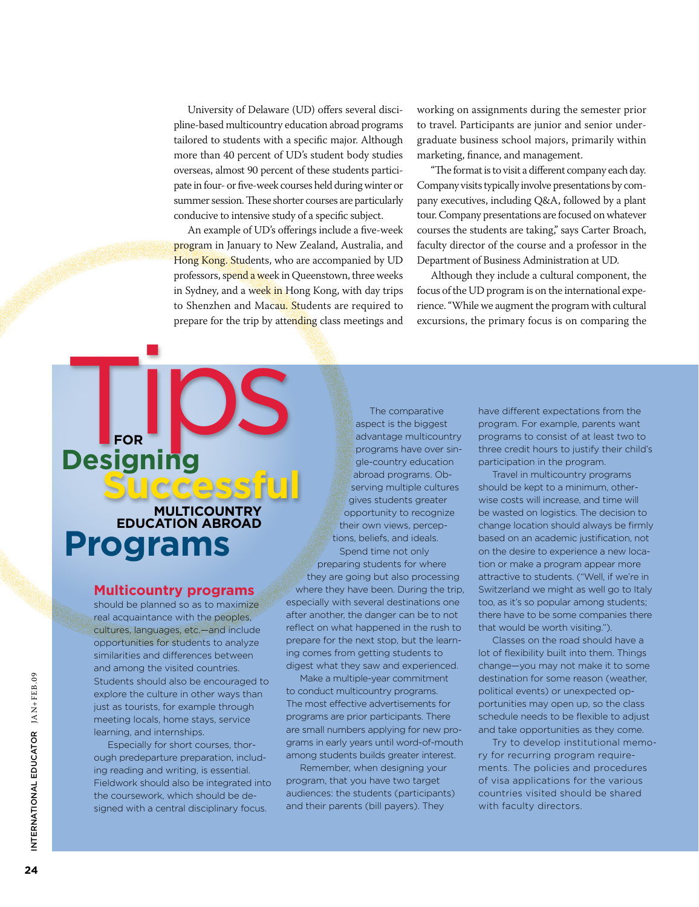University of Delaware (UD) offers several discipline-based multicountry education abroad programs tailored to students with a specific major. Although more than 40 percent of UD's student body studies overseas, almost 90 percent of these students participate in four- or five-week courses held during winter or summer session. These shorter courses are particularly conducive to intensive study of a specific subject.

An example of UD's offerings include a five-week program in January to New Zealand, Australia, and Hong Kong. Students, who are accompanied by UD professors, spend a week in Queenstown, three weeks in Sydney, and a week in Hong Kong, with day trips to Shenzhen and Macau. Students are required to prepare for the trip by attending class meetings and

working on assignments during the semester prior to travel. Participants are junior and senior undergraduate business school majors, primarily within marketing, finance, and management.

"The format is to visit a different company each day. Company visits typically involve presentations by company executives, including Q&A, followed by a plant tour. Company presentations are focused on whatever courses the students are taking," says Carter Broach, faculty director of the course and a professor in the Department of Business Administration at UD.

Although they include a cultural component, the focus of the UD program is on the international experience. "While we augment the program with cultural excursions, the primary focus is on comparing the

# **Programs Multicountry Education Abroad Successful**

**Designing** 

**for**

### **Multicountry programs**

should be planned so as to maximize real acquaintance with the peoples, cultures, languages, etc.—and include opportunities for students to analyze similarities and differences between and among the visited countries. Students should also be encouraged to explore the culture in other ways than just as tourists, for example through meeting locals, home stays, service learning, and internships.

Especially for short courses, thorough predeparture preparation, including reading and writing, is essential. Fieldwork should also be integrated into the coursework, which should be designed with a central disciplinary focus.

The comparative aspect is the biggest advantage multicountry programs have over single-country education abroad programs. Observing multiple cultures gives students greater opportunity to recognize their own views, perceptions, beliefs, and ideals. Spend time not only

preparing students for where they are going but also processing where they have been. During the trip, especially with several destinations one after another, the danger can be to not reflect on what happened in the rush to prepare for the next stop, but the learning comes from getting students to digest what they saw and experienced.

Make a multiple-year commitment to conduct multicountry programs. The most effective advertisements for programs are prior participants. There are small numbers applying for new programs in early years until word-of-mouth among students builds greater interest.

Remember, when designing your program, that you have two target audiences: the students (participants) and their parents (bill payers). They

have different expectations from the program. For example, parents want programs to consist of at least two to three credit hours to justify their child's participation in the program.

Travel in multicountry programs should be kept to a minimum, otherwise costs will increase, and time will be wasted on logistics. The decision to change location should always be firmly based on an academic justification, not on the desire to experience a new location or make a program appear more attractive to students. ("Well, if we're in Switzerland we might as well go to Italy too, as it's so popular among students; there have to be some companies there that would be worth visiting.").

Classes on the road should have a lot of flexibility built into them. Things change—you may not make it to some destination for some reason (weather, political events) or unexpected opportunities may open up, so the class schedule needs to be flexible to adjust and take opportunities as they come.

Try to develop institutional memory for recurring program requirements. The policies and procedures of visa applications for the various countries visited should be shared with faculty directors.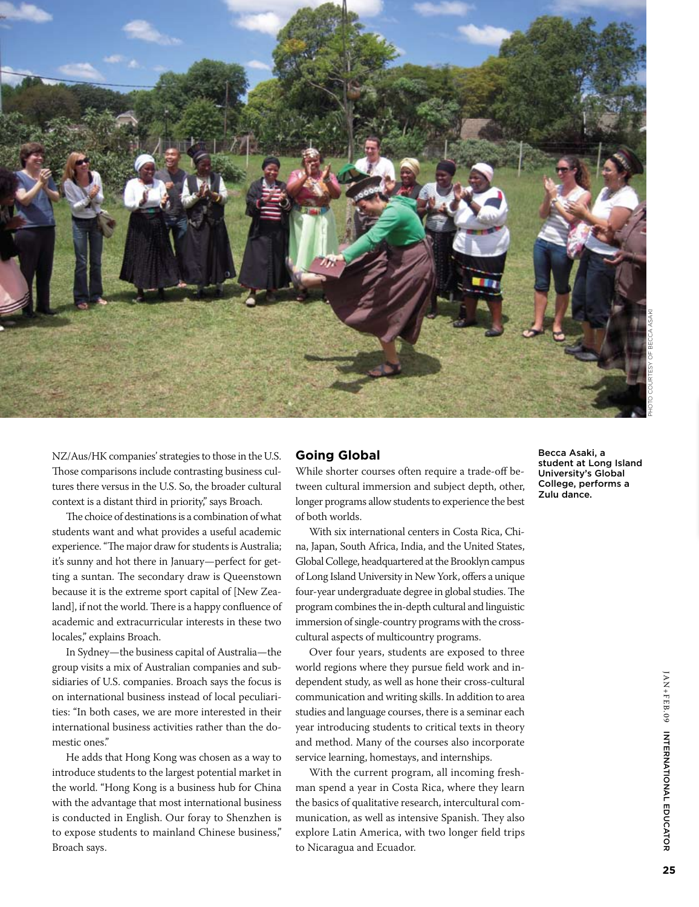

NZ/Aus/HK companies' strategies to those in the U.S. Those comparisons include contrasting business cultures there versus in the U.S. So, the broader cultural context is a distant third in priority," says Broach.

The choice of destinations is a combination of what students want and what provides a useful academic experience. "The major draw for students is Australia; it's sunny and hot there in January—perfect for getting a suntan. The secondary draw is Queenstown because it is the extreme sport capital of [New Zealand], if not the world. There is a happy confluence of academic and extracurricular interests in these two locales," explains Broach.

In Sydney—the business capital of Australia—the group visits a mix of Australian companies and subsidiaries of U.S. companies. Broach says the focus is on international business instead of local peculiarities: "In both cases, we are more interested in their international business activities rather than the domestic ones."

He adds that Hong Kong was chosen as a way to introduce students to the largest potential market in the world. "Hong Kong is a business hub for China with the advantage that most international business is conducted in English. Our foray to Shenzhen is to expose students to mainland Chinese business," Broach says.

### **Going Global**

While shorter courses often require a trade-off between cultural immersion and subject depth, other, longer programs allow students to experience the best of both worlds.

With six international centers in Costa Rica, China, Japan, South Africa, India, and the United States, Global College, headquartered at the Brooklyn campus of Long Island University in New York, offers a unique four-year undergraduate degree in global studies. The program combines the in-depth cultural and linguistic immersion of single-country programs with the crosscultural aspects of multicountry programs.

Over four years, students are exposed to three world regions where they pursue field work and independent study, as well as hone their cross-cultural communication and writing skills. In addition to area studies and language courses, there is a seminar each year introducing students to critical texts in theory and method. Many of the courses also incorporate service learning, homestays, and internships.

With the current program, all incoming freshman spend a year in Costa Rica, where they learn the basics of qualitative research, intercultural communication, as well as intensive Spanish. They also explore Latin America, with two longer field trips to Nicaragua and Ecuador.

Becca Asaki, a student at Long Island University's Global College, performs a Zulu dance.